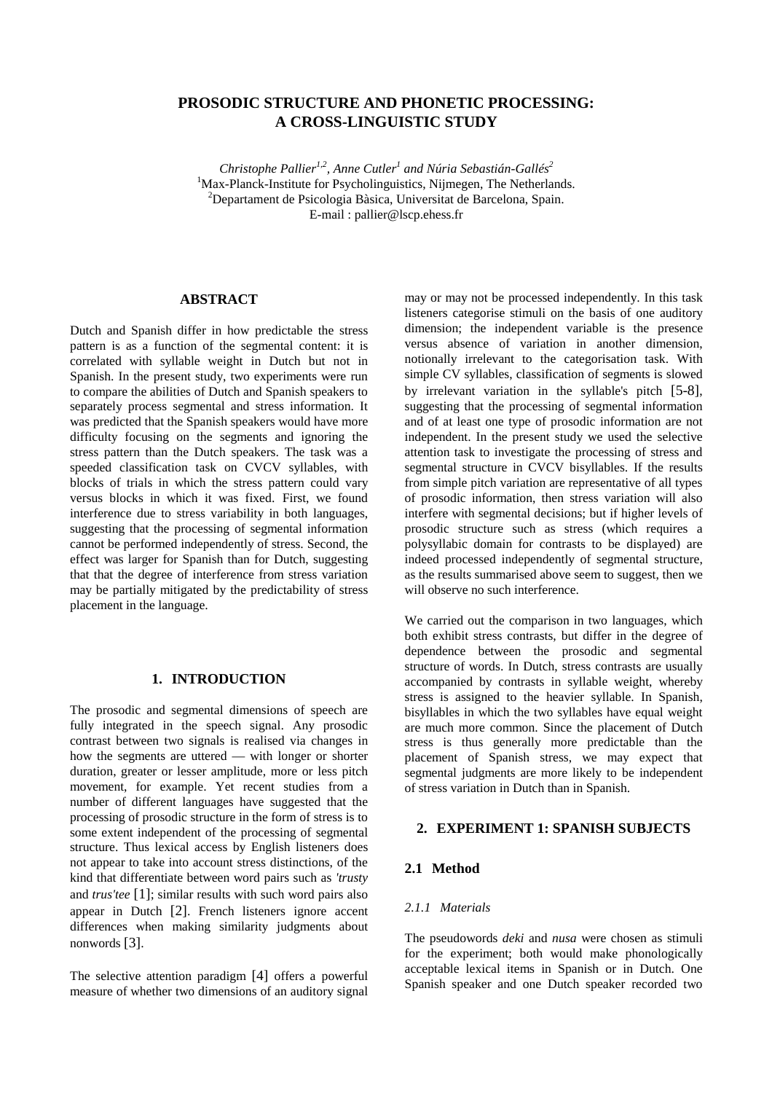# **PROSODIC STRUCTURE AND PHONETIC PROCESSING: A CROSS-LINGUISTIC STUDY**

*Christophe Pallier1,2, Anne Cutler1 and Núria Sebastián-Gallés2* <sup>1</sup>Max-Planck-Institute for Psycholinguistics, Nijmegen, The Netherlands. <sup>2</sup>Departament de Psicologia Bàsica, Universitat de Barcelona, Spain. E-mail : pallier@lscp.ehess.fr

### **ABSTRACT**

Dutch and Spanish differ in how predictable the stress pattern is as a function of the segmental content: it is correlated with syllable weight in Dutch but not in Spanish. In the present study, two experiments were run to compare the abilities of Dutch and Spanish speakers to separately process segmental and stress information. It was predicted that the Spanish speakers would have more difficulty focusing on the segments and ignoring the stress pattern than the Dutch speakers. The task was a speeded classification task on CVCV syllables, with blocks of trials in which the stress pattern could vary versus blocks in which it was fixed. First, we found interference due to stress variability in both languages, suggesting that the processing of segmental information cannot be performed independently of stress. Second, the effect was larger for Spanish than for Dutch, suggesting that that the degree of interference from stress variation may be partially mitigated by the predictability of stress placement in the language.

# **1. INTRODUCTION**

The prosodic and segmental dimensions of speech are fully integrated in the speech signal. Any prosodic contrast between two signals is realised via changes in how the segments are uttered — with longer or shorter duration, greater or lesser amplitude, more or less pitch movement, for example. Yet recent studies from a number of different languages have suggested that the processing of prosodic structure in the form of stress is to some extent independent of the processing of segmental structure. Thus lexical access by English listeners does not appear to take into account stress distinctions, of the kind that differentiate between word pairs such as *'trusty* and *trus'tee* [1]; similar results with such word pairs also appear in Dutch [2]. French listeners ignore accent differences when making similarity judgments about nonwords [3].

The selective attention paradigm [4] offers a powerful measure of whether two dimensions of an auditory signal may or may not be processed independently. In this task listeners categorise stimuli on the basis of one auditory dimension; the independent variable is the presence versus absence of variation in another dimension, notionally irrelevant to the categorisation task. With simple CV syllables, classification of segments is slowed by irrelevant variation in the syllable's pitch [5-8], suggesting that the processing of segmental information and of at least one type of prosodic information are not independent. In the present study we used the selective attention task to investigate the processing of stress and segmental structure in CVCV bisyllables. If the results from simple pitch variation are representative of all types of prosodic information, then stress variation will also interfere with segmental decisions; but if higher levels of prosodic structure such as stress (which requires a polysyllabic domain for contrasts to be displayed) are indeed processed independently of segmental structure, as the results summarised above seem to suggest, then we will observe no such interference.

We carried out the comparison in two languages, which both exhibit stress contrasts, but differ in the degree of dependence between the prosodic and segmental structure of words. In Dutch, stress contrasts are usually accompanied by contrasts in syllable weight, whereby stress is assigned to the heavier syllable. In Spanish, bisyllables in which the two syllables have equal weight are much more common. Since the placement of Dutch stress is thus generally more predictable than the placement of Spanish stress, we may expect that segmental judgments are more likely to be independent of stress variation in Dutch than in Spanish.

#### **2. EXPERIMENT 1: SPANISH SUBJECTS**

#### **2.1 Method**

### *2.1.1 Materials*

The pseudowords *deki* and *nusa* were chosen as stimuli for the experiment; both would make phonologically acceptable lexical items in Spanish or in Dutch. One Spanish speaker and one Dutch speaker recorded two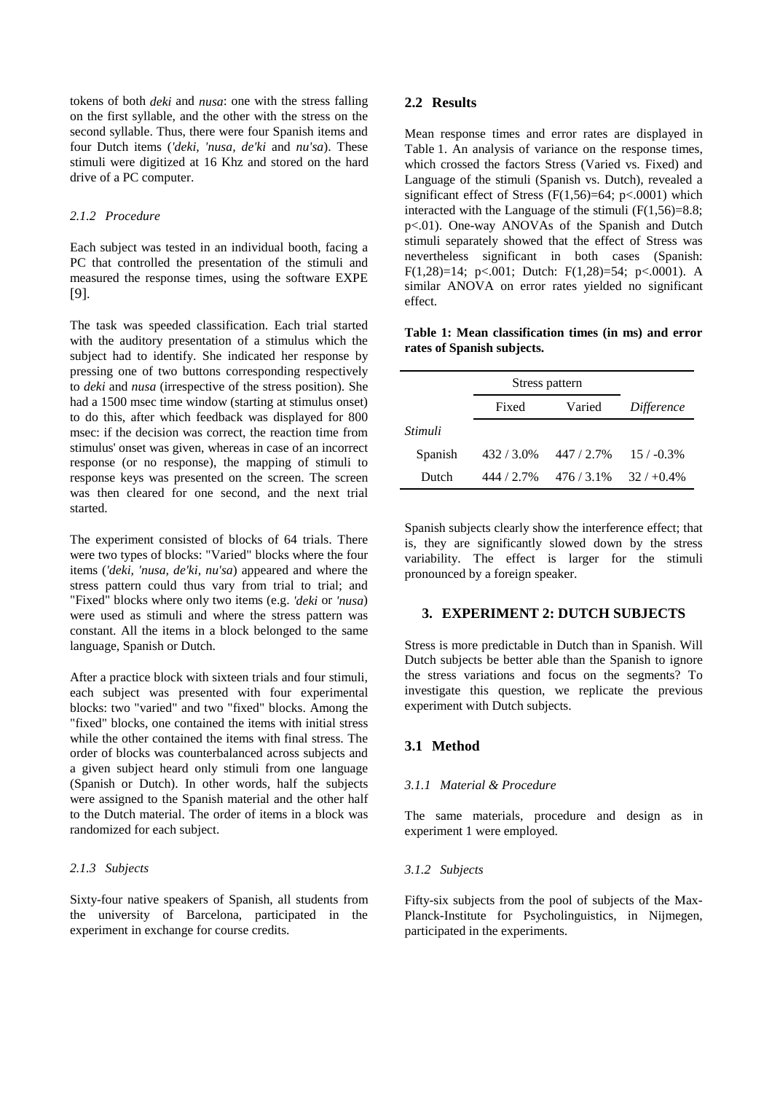tokens of both *deki* and *nusa*: one with the stress falling on the first syllable, and the other with the stress on the second syllable. Thus, there were four Spanish items and four Dutch items (*'deki, 'nusa, de'ki* and *nu'sa*). These stimuli were digitized at 16 Khz and stored on the hard drive of a PC computer.

#### *2.1.2 Procedure*

Each subject was tested in an individual booth, facing a PC that controlled the presentation of the stimuli and measured the response times, using the software EXPE [9].

The task was speeded classification. Each trial started with the auditory presentation of a stimulus which the subject had to identify. She indicated her response by pressing one of two buttons corresponding respectively to *deki* and *nusa* (irrespective of the stress position). She had a 1500 msec time window (starting at stimulus onset) to do this, after which feedback was displayed for 800 msec: if the decision was correct, the reaction time from stimulus' onset was given, whereas in case of an incorrect response (or no response), the mapping of stimuli to response keys was presented on the screen. The screen was then cleared for one second, and the next trial started.

The experiment consisted of blocks of 64 trials. There were two types of blocks: "Varied" blocks where the four items (*'deki, 'nusa, de'ki, nu'sa*) appeared and where the stress pattern could thus vary from trial to trial; and "Fixed" blocks where only two items (e.g. *'deki* or *'nusa*) were used as stimuli and where the stress pattern was constant. All the items in a block belonged to the same language, Spanish or Dutch.

After a practice block with sixteen trials and four stimuli, each subject was presented with four experimental blocks: two "varied" and two "fixed" blocks. Among the "fixed" blocks, one contained the items with initial stress while the other contained the items with final stress. The order of blocks was counterbalanced across subjects and a given subject heard only stimuli from one language (Spanish or Dutch). In other words, half the subjects were assigned to the Spanish material and the other half to the Dutch material. The order of items in a block was randomized for each subject.

#### *2.1.3 Subjects*

Sixty-four native speakers of Spanish, all students from the university of Barcelona, participated in the experiment in exchange for course credits.

#### **2.2 Results**

Mean response times and error rates are displayed in Table 1. An analysis of variance on the response times, which crossed the factors Stress (Varied vs. Fixed) and Language of the stimuli (Spanish vs. Dutch), revealed a significant effect of Stress  $(F(1,56)=64; p<.0001)$  which interacted with the Language of the stimuli  $(F(1,56)=8.8;$ p<.01). One-way ANOVAs of the Spanish and Dutch stimuli separately showed that the effect of Stress was nevertheless significant in both cases (Spanish: F(1,28)=14; p<.001; Dutch: F(1,28)=54; p<.0001). A similar ANOVA on error rates yielded no significant effect.

|  | Table 1: Mean classification times (in ms) and error |  |  |  |
|--|------------------------------------------------------|--|--|--|
|  | rates of Spanish subjects.                           |  |  |  |

|         | Stress pattern |             |              |
|---------|----------------|-------------|--------------|
|         | Fixed          | Varied      | Difference   |
| Stimuli |                |             |              |
| Spanish | $432/3.0\%$    | 447 / 2.7%  | $15/ -0.3\%$ |
| Dutch   | 444 / 2.7%     | $476/3.1\%$ | $32/+0.4\%$  |

Spanish subjects clearly show the interference effect; that is, they are significantly slowed down by the stress variability. The effect is larger for the stimuli pronounced by a foreign speaker.

### **3. EXPERIMENT 2: DUTCH SUBJECTS**

Stress is more predictable in Dutch than in Spanish. Will Dutch subjects be better able than the Spanish to ignore the stress variations and focus on the segments? To investigate this question, we replicate the previous experiment with Dutch subjects.

### **3.1 Method**

#### *3.1.1 Material & Procedure*

The same materials, procedure and design as in experiment 1 were employed.

#### *3.1.2 Subjects*

Fifty-six subjects from the pool of subjects of the Max-Planck-Institute for Psycholinguistics, in Nijmegen, participated in the experiments.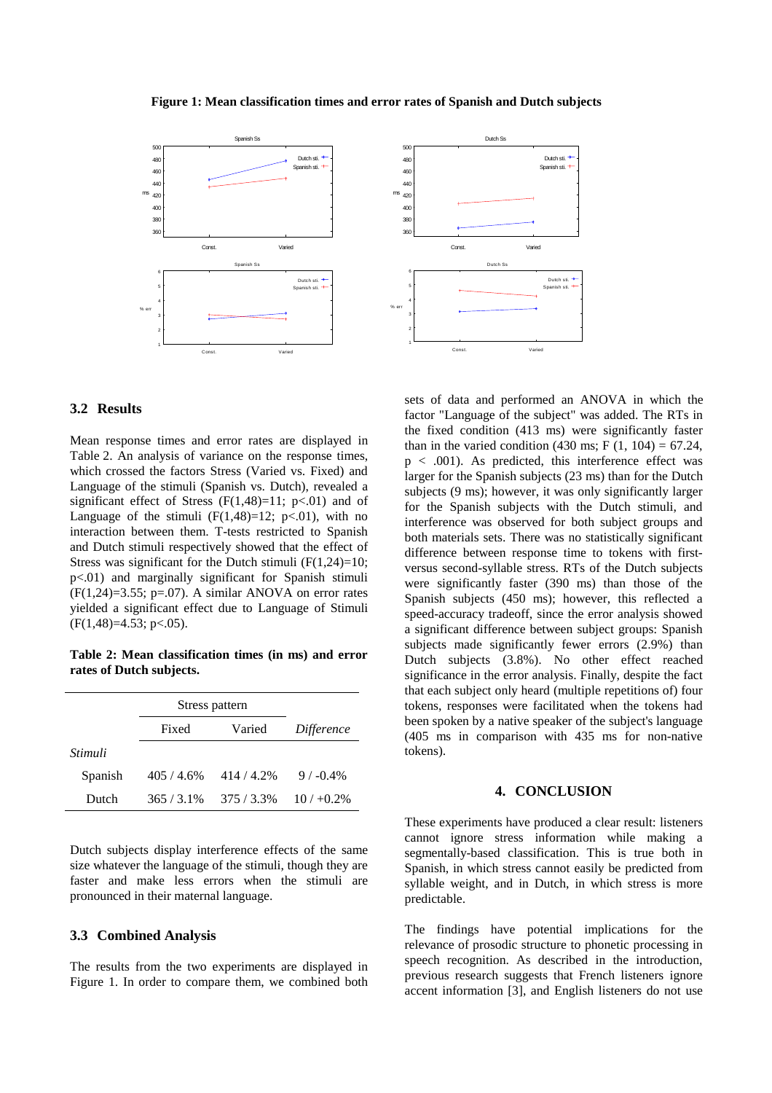

#### **Figure 1: Mean classification times and error rates of Spanish and Dutch subjects**



# **3.2 Results**

Mean response times and error rates are displayed in Table 2. An analysis of variance on the response times, which crossed the factors Stress (Varied vs. Fixed) and Language of the stimuli (Spanish vs. Dutch), revealed a significant effect of Stress  $(F(1,48)=11; p<.01)$  and of Language of the stimuli  $(F(1,48)=12; p<0.01)$ , with no interaction between them. T-tests restricted to Spanish and Dutch stimuli respectively showed that the effect of Stress was significant for the Dutch stimuli  $(F(1,24)=10)$ ; p<.01) and marginally significant for Spanish stimuli  $(F(1,24)=3.55; p=.07)$ . A similar ANOVA on error rates yielded a significant effect due to Language of Stimuli  $(F(1, 48)=4.53; p<.05)$ .

**Table 2: Mean classification times (in ms) and error rates of Dutch subjects.**

|         | Stress pattern |             |             |  |
|---------|----------------|-------------|-------------|--|
|         | Fixed          | Varied      | Difference  |  |
| Stimuli |                |             |             |  |
| Spanish | 405/4.6%       | 414/4.2%    | $9/ -0.4\%$ |  |
| Dutch   | $365/3.1\%$    | $375/3.3\%$ | $10/10.2\%$ |  |

Dutch subjects display interference effects of the same size whatever the language of the stimuli, though they are faster and make less errors when the stimuli are pronounced in their maternal language.

### **3.3 Combined Analysis**

The results from the two experiments are displayed in Figure 1. In order to compare them, we combined both sets of data and performed an ANOVA in which the factor "Language of the subject" was added. The RTs in the fixed condition (413 ms) were significantly faster than in the varied condition (430 ms; F  $(1, 104) = 67.24$ ,  $p < .001$ ). As predicted, this interference effect was larger for the Spanish subjects (23 ms) than for the Dutch subjects (9 ms); however, it was only significantly larger for the Spanish subjects with the Dutch stimuli, and interference was observed for both subject groups and both materials sets. There was no statistically significant difference between response time to tokens with firstversus second-syllable stress. RTs of the Dutch subjects were significantly faster (390 ms) than those of the Spanish subjects (450 ms); however, this reflected a speed-accuracy tradeoff, since the error analysis showed a significant difference between subject groups: Spanish subjects made significantly fewer errors (2.9%) than Dutch subjects (3.8%). No other effect reached significance in the error analysis. Finally, despite the fact that each subject only heard (multiple repetitions of) four tokens, responses were facilitated when the tokens had been spoken by a native speaker of the subject's language (405 ms in comparison with 435 ms for non-native tokens).

### **4. CONCLUSION**

These experiments have produced a clear result: listeners cannot ignore stress information while making a segmentally-based classification. This is true both in Spanish, in which stress cannot easily be predicted from syllable weight, and in Dutch, in which stress is more predictable.

The findings have potential implications for the relevance of prosodic structure to phonetic processing in speech recognition. As described in the introduction, previous research suggests that French listeners ignore accent information [3], and English listeners do not use